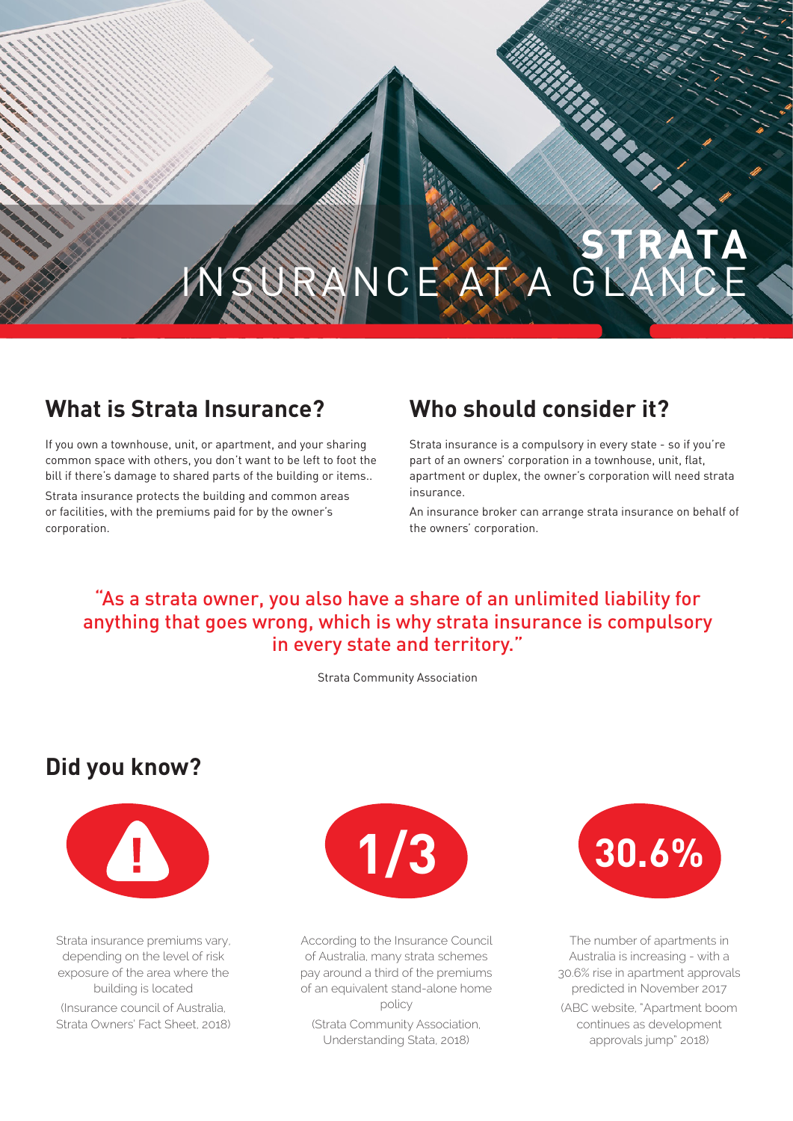# **STRATA** INSURANCE AT A GLANCE

### **What is Strata Insurance?**

If you own a townhouse, unit, or apartment, and your sharing common space with others, you don't want to be left to foot the bill if there's damage to shared parts of the building or items..

Strata insurance protects the building and common areas or facilities, with the premiums paid for by the owner's corporation.

### **Who should consider it?**

Strata insurance is a compulsory in every state - so if you're part of an owners' corporation in a townhouse, unit, flat, apartment or duplex, the owner's corporation will need strata insurance.

An insurance broker can arrange strata insurance on behalf of the owners' corporation.

### "As a strata owner, you also have a share of an unlimited liability for anything that goes wrong, which is why strata insurance is compulsory in every state and territory."

Strata Community Association

### **Did you know?**



Strata insurance premiums vary, depending on the level of risk exposure of the area where the building is located (Insurance council of Australia, Strata Owners' Fact Sheet, 2018)



According to the Insurance Council of Australia, many strata schemes pay around a third of the premiums of an equivalent stand-alone home policy (Strata Community Association, Understanding Stata, 2018)



The number of apartments in Australia is increasing - with a 30.6% rise in apartment approvals predicted in November 2017 (ABC website, "Apartment boom continues as development approvals jump" 2018)